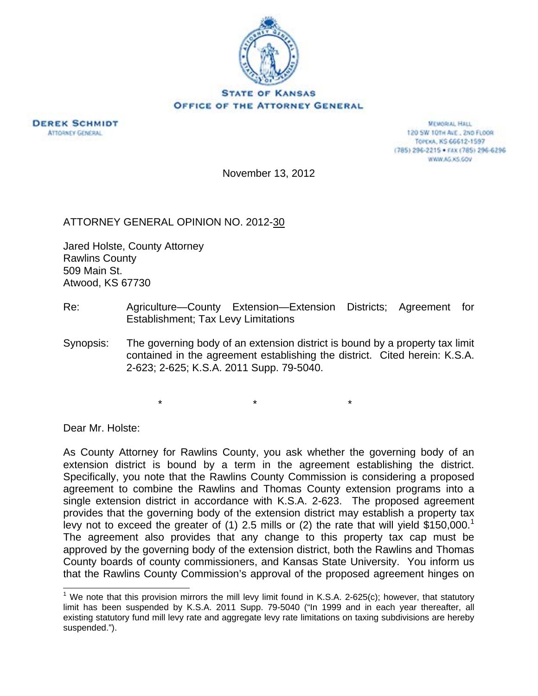



**MEMORIAL HALL** 120 SW 101H AVE., 2ND FLOOR TOPEXA, KS 66612-1597 (785) 296-2215 · FAX (785) 296-6296 WWW.AG.XS.GOV

November 13, 2012

ATTORNEY GENERAL OPINION NO. 2012-30

Jared Holste, County Attorney Rawlins County 509 Main St. Atwood, KS 67730

- Re: Agriculture—County Extension—Extension Districts; Agreement for Establishment; Tax Levy Limitations
- Synopsis: The governing body of an extension district is bound by a property tax limit contained in the agreement establishing the district. Cited herein: K.S.A. 2-623; 2-625; K.S.A. 2011 Supp. 79-5040.

 $\star$  \*  $\star$  \*  $\star$ 

Dear Mr. Holste:

 $\overline{\phantom{a}}$ 

As County Attorney for Rawlins County, you ask whether the governing body of an extension district is bound by a term in the agreement establishing the district. Specifically, you note that the Rawlins County Commission is considering a proposed agreement to combine the Rawlins and Thomas County extension programs into a single extension district in accordance with K.S.A. 2-623. The proposed agreement provides that the governing body of the extension district may establish a property tax levy not to exceed the greater of (1) 2.5 mills or (2) the rate that will yield \$150,000.<sup>1</sup> The agreement also provides that any change to this property tax cap must be approved by the governing body of the extension district, both the Rawlins and Thomas County boards of county commissioners, and Kansas State University. You inform us that the Rawlins County Commission's approval of the proposed agreement hinges on

<sup>&</sup>lt;sup>1</sup> We note that this provision mirrors the mill levy limit found in K.S.A. 2-625(c); however, that statutory limit has been suspended by K.S.A. 2011 Supp. 79-5040 ("In 1999 and in each year thereafter, all existing statutory fund mill levy rate and aggregate levy rate limitations on taxing subdivisions are hereby suspended.").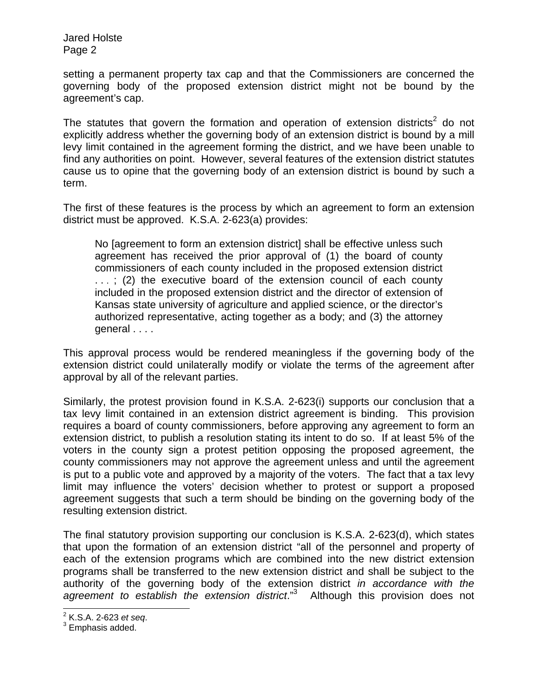Jared Holste Page 2

setting a permanent property tax cap and that the Commissioners are concerned the governing body of the proposed extension district might not be bound by the agreement's cap.

The statutes that govern the formation and operation of extension districts<sup>2</sup> do not explicitly address whether the governing body of an extension district is bound by a mill levy limit contained in the agreement forming the district, and we have been unable to find any authorities on point. However, several features of the extension district statutes cause us to opine that the governing body of an extension district is bound by such a term.

The first of these features is the process by which an agreement to form an extension district must be approved. K.S.A. 2-623(a) provides:

No [agreement to form an extension district] shall be effective unless such agreement has received the prior approval of (1) the board of county commissioners of each county included in the proposed extension district ...; (2) the executive board of the extension council of each county included in the proposed extension district and the director of extension of Kansas state university of agriculture and applied science, or the director's authorized representative, acting together as a body; and (3) the attorney general . . . .

This approval process would be rendered meaningless if the governing body of the extension district could unilaterally modify or violate the terms of the agreement after approval by all of the relevant parties.

Similarly, the protest provision found in K.S.A. 2-623(i) supports our conclusion that a tax levy limit contained in an extension district agreement is binding. This provision requires a board of county commissioners, before approving any agreement to form an extension district, to publish a resolution stating its intent to do so. If at least 5% of the voters in the county sign a protest petition opposing the proposed agreement, the county commissioners may not approve the agreement unless and until the agreement is put to a public vote and approved by a majority of the voters. The fact that a tax levy limit may influence the voters' decision whether to protest or support a proposed agreement suggests that such a term should be binding on the governing body of the resulting extension district.

The final statutory provision supporting our conclusion is K.S.A. 2-623(d), which states that upon the formation of an extension district "all of the personnel and property of each of the extension programs which are combined into the new district extension programs shall be transferred to the new extension district and shall be subject to the authority of the governing body of the extension district *in accordance with the agreement to establish the extension district*."3 Although this provision does not

<sup>&</sup>lt;u>2</u><br><sup>2</sup> K.S.A. 2-623 *et seq.*<br><sup>3</sup> Emphasis addad

 $3$  Emphasis added.